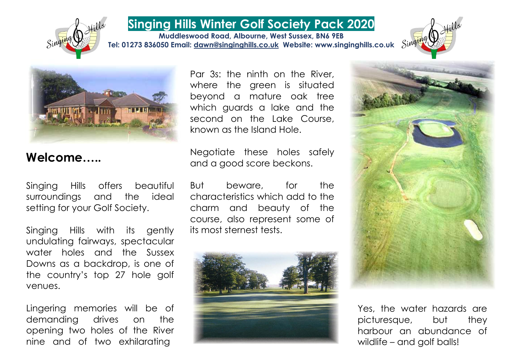

## **Singing Hills Winter Golf Society Pack 2020**

**Muddleswood Road, Albourne, West Sussex, BN6 9EB Tel: 01273 836050 Email: [dawn@singinghills.co.uk](mailto:dawn@singinghills.co.uk) Website: www.singinghills.co.uk**





### **Welcome…..**

Singing Hills offers beautiful surroundings and the ideal setting for your Golf Society.

Singing Hills with its gently undulating fairways, spectacular water holes and the Sussex Downs as a backdrop, is one of the country's top 27 hole golf venues.

Lingering memories will be of demanding drives on the opening two holes of the River nine and of two exhilarating

Par 3s: the ninth on the River, where the green is situated beyond a mature oak tree which guards a lake and the second on the Lake Course, known as the Island Hole.

Negotiate these holes safely and a good score beckons.

But beware, for the characteristics which add to the charm and beauty of the course, also represent some of its most sternest tests.





Yes, the water hazards are picturesque, but they harbour an abundance of wildlife – and golf balls!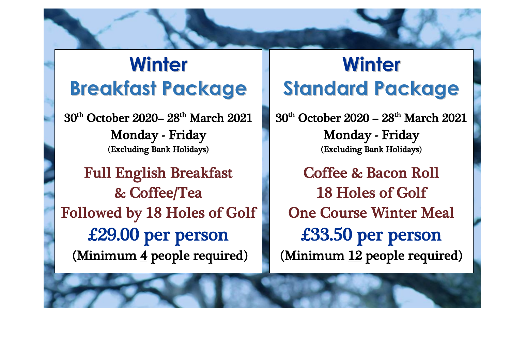# **Winter Breakfast Package**

30<sup>th</sup> October 2020– 28<sup>th</sup> March 2021 Monday - Friday (Excluding Bank Holidays)

Full English Breakfast & Coffee/Tea Followed by 18 Holes of Golf £29.00 per person (Minimum 4 people required)

į

# **Winter Standard Package**

30<sup>th</sup> October 2020 – 28<sup>th</sup> March 2021 Monday - Friday (Excluding Bank Holidays)

Coffee & Bacon Roll 18 Holes of Golf One Course Winter Meal £33.50 per person (Minimum 12 people required)

L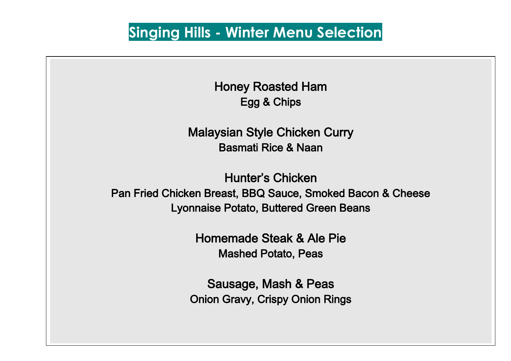## **Singing Hills - Winter Menu Selection**

Honey Roasted Ham Egg & Chips

Malaysian Style Chicken Curry Basmati Rice & Naan

Hunter's Chicken Pan Fried Chicken Breast, BBQ Sauce, Smoked Bacon & Cheese Lyonnaise Potato, Buttered Green Beans

> Homemade Steak & Ale Pie Mashed Potato, Peas

Sausage, Mash & Peas Onion Gravy, Crispy Onion Rings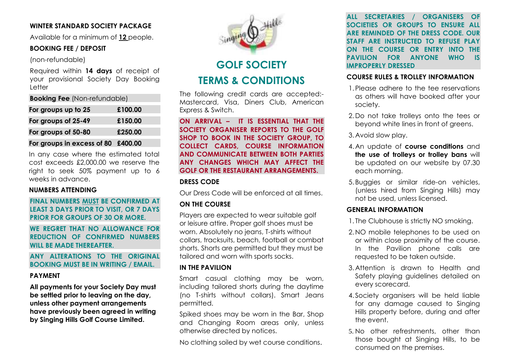#### **WINTER STANDARD SOCIETY PACKAGE**

Available for a minimum of **12** people.

#### **BOOKING FEE / DEPOSIT**

(non-refundable)

Required within **14 days** of receipt of your provisional Society Day Booking Letter

| For groups up to 25 | £100.00 |
|---------------------|---------|
| For groups of 25-49 | £150.00 |
| For groups of 50-80 | £250.00 |
|                     |         |

**For groups in excess of 80 £400.00**

In any case where the estimated total cost exceeds £2,000.00 we reserve the right to seek 50% payment up to 6 weeks in advance.

#### **NUMBERS ATTENDING**

**FINAL NUMBERS MUST BE CONFIRMED AT LEAST 3 DAYS PRIOR TO VISIT, OR 7 DAYS PRIOR FOR GROUPS OF 30 OR MORE.** 

**WE REGRET THAT NO ALLOWANCE FOR REDUCTION OF CONFIRMED NUMBERS WILL BE MADE THEREAFTER.** 

#### **ANY ALTERATIONS TO THE ORIGINAL BOOKING MUST BE IN WRITING / EMAIL.**

#### **PAYMENT**

**All payments for your Society Day must be settled prior to leaving on the day, unless other payment arrangements have previously been agreed in writing by Singing Hills Golf Course Limited.**



### **GOLF SOCIETY TERMS & CONDITIONS**

The following credit cards are accepted:- Mastercard, Visa, Diners Club, American Express & Switch.

**ON ARRIVAL – IT IS ESSENTIAL THAT THE SOCIETY ORGANISER REPORTS TO THE GOLF SHOP TO BOOK IN THE SOCIETY GROUP, TO COLLECT CARDS, COURSE INFORMATION AND COMMUNICATE BETWEEN BOTH PARTIES ANY CHANGES WHICH MAY AFFECT THE GOLF OR THE RESTAURANT ARRANGEMENTS.**

#### **DRESS CODE**

Our Dress Code will be enforced at all times.

#### **ON THE COURSE**

Players are expected to wear suitable golf or leisure attire. Proper golf shoes must be worn. Absolutely no jeans, T-shirts without collars, tracksuits, beach, football or combat shorts. Shorts are permitted but they must be tailored and worn with sports socks.

#### **IN THE PAVILION**

Smart casual clothing may be worn, including tailored shorts during the daytime (no T-shirts without collars). Smart Jeans permitted.

Spiked shoes may be worn in the Bar, Shop and Changing Room areas only, unless otherwise directed by notices.

No clothing soiled by wet course conditions.

**ALL SECRETARIES / ORGANISERS OF SOCIETIES OR GROUPS TO ENSURE ALL ARE REMINDED OF THE DRESS CODE. OUR STAFF ARE INSTRUCTED TO REFUSE PLAY ON THE COURSE OR ENTRY INTO THE PAVILION FOR ANYONE WHO IS IMPROPERLY DRESSED**

#### **COURSE RULES & TROLLEY INFORMATION**

- 1.Please adhere to the tee reservations as others will have booked after your society.
- 2.Do not take trolleys onto the tees or beyond white lines in front of greens.

3.Avoid slow play.

- 4.An update of **course conditions** and **the use of trolleys or trolley bans** will be updated on our website by 07.30 each morning.
- 5. Buggies or similar ride-on vehicles, (unless hired from Singing Hills) may not be used, unless licensed.

#### **GENERAL INFORMATION**

- 1. The Clubhouse is strictly NO smoking.
- 2.NO mobile telephones to be used on or within close proximity of the course. In the Pavilion phone calls are requested to be taken outside.
- 3.Attention is drawn to Health and Safety playing guidelines detailed on every scorecard.
- 4. Society organisers will be held liable for any damage caused to Singing Hills property before, during and after the event.
- 5. No other refreshments, other than those bought at Singing Hills, to be consumed on the premises.